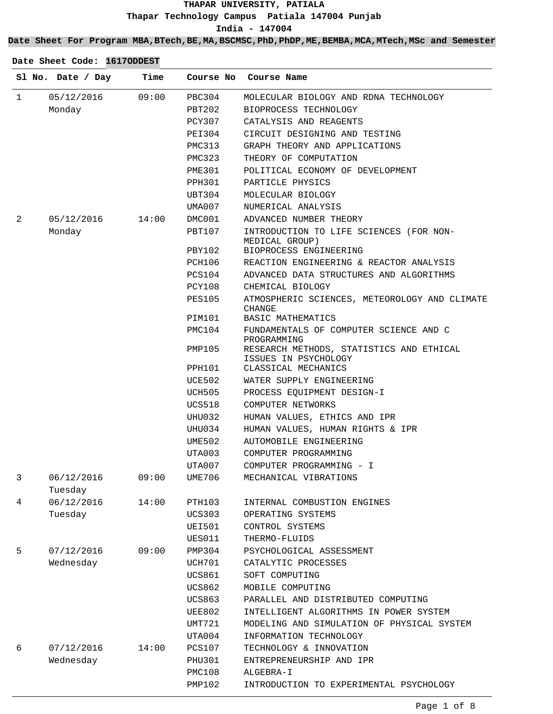**Date Sheet For Program MBA,BTech,BE,MA,BSCMSC,PhD,PhDP,ME,BEMBA,MCA,MTech,MSc and Semester**

|              | Sl No. Date / Day     | Time  | Course No     | Course Name                                                      |
|--------------|-----------------------|-------|---------------|------------------------------------------------------------------|
| $\mathbf{1}$ | 05/12/2016            | 09:00 | PBC304        | MOLECULAR BIOLOGY AND RDNA TECHNOLOGY                            |
|              | Monday                |       | PBT202        | BIOPROCESS TECHNOLOGY                                            |
|              |                       |       | PCY307        | CATALYSIS AND REAGENTS                                           |
|              |                       |       | PEI304        | CIRCUIT DESIGNING AND TESTING                                    |
|              |                       |       | PMC313        | GRAPH THEORY AND APPLICATIONS                                    |
|              |                       |       | PMC323        | THEORY OF COMPUTATION                                            |
|              |                       |       | PME301        | POLITICAL ECONOMY OF DEVELOPMENT                                 |
|              |                       |       | PPH301        | PARTICLE PHYSICS                                                 |
|              |                       |       | UBT304        | MOLECULAR BIOLOGY                                                |
|              |                       |       | UMA007        | NUMERICAL ANALYSIS                                               |
| 2            | 05/12/2016            | 14:00 | DMC001        | ADVANCED NUMBER THEORY                                           |
|              | Monday                |       | PBT107        | INTRODUCTION TO LIFE SCIENCES (FOR NON-<br>MEDICAL GROUP)        |
|              |                       |       | PBY102        | BIOPROCESS ENGINEERING                                           |
|              |                       |       | PCH106        | REACTION ENGINEERING & REACTOR ANALYSIS                          |
|              |                       |       | PCS104        | ADVANCED DATA STRUCTURES AND ALGORITHMS                          |
|              |                       |       | PCY108        | CHEMICAL BIOLOGY                                                 |
|              |                       |       | <b>PES105</b> | ATMOSPHERIC SCIENCES, METEOROLOGY AND CLIMATE<br>CHANGE          |
|              |                       |       | PIM101        | BASIC MATHEMATICS                                                |
|              |                       |       | PMC104        | FUNDAMENTALS OF COMPUTER SCIENCE AND C<br>PROGRAMMING            |
|              |                       |       | PMP105        | RESEARCH METHODS, STATISTICS AND ETHICAL<br>ISSUES IN PSYCHOLOGY |
|              |                       |       | PPH101        | CLASSICAL MECHANICS                                              |
|              |                       |       | UCE502        | WATER SUPPLY ENGINEERING                                         |
|              |                       |       | UCH505        | PROCESS EQUIPMENT DESIGN-I                                       |
|              |                       |       | UCS518        | COMPUTER NETWORKS                                                |
|              |                       |       | UHU032        | HUMAN VALUES, ETHICS AND IPR                                     |
|              |                       |       | UHU034        | HUMAN VALUES, HUMAN RIGHTS & IPR                                 |
|              |                       |       | UME502        | AUTOMOBILE ENGINEERING                                           |
|              |                       |       | UTA003        | COMPUTER PROGRAMMING                                             |
|              |                       |       | UTA007        | COMPUTER PROGRAMMING - I                                         |
| 3            | 06/12/2016<br>Tuesday | 09:00 | UME706        | MECHANICAL VIBRATIONS                                            |
| 4            | 06/12/2016            | 14:00 | PTH103        | INTERNAL COMBUSTION ENGINES                                      |
|              | Tuesday               |       | <b>UCS303</b> | OPERATING SYSTEMS                                                |
|              |                       |       | <b>UEI501</b> | CONTROL SYSTEMS                                                  |
|              |                       |       | UES011        | THERMO-FLUIDS                                                    |
| 5            | 07/12/2016            | 09:00 | PMP304        | PSYCHOLOGICAL ASSESSMENT                                         |
|              | Wednesday             |       | UCH701        | CATALYTIC PROCESSES                                              |
|              |                       |       | UCS861        | SOFT COMPUTING                                                   |
|              |                       |       | UCS862        | MOBILE COMPUTING                                                 |
|              |                       |       | UCS863        | PARALLEL AND DISTRIBUTED COMPUTING                               |
|              |                       |       | UEE802        | INTELLIGENT ALGORITHMS IN POWER SYSTEM                           |
|              |                       |       | UMT721        | MODELING AND SIMULATION OF PHYSICAL SYSTEM                       |
|              |                       |       | UTA004        | INFORMATION TECHNOLOGY                                           |
| 6            | 07/12/2016            | 14:00 | <b>PCS107</b> | TECHNOLOGY & INNOVATION                                          |
|              | Wednesday             |       | PHU301        | ENTREPRENEURSHIP AND IPR                                         |
|              |                       |       | PMC108        | ALGEBRA-I                                                        |
|              |                       |       | PMP102        | INTRODUCTION TO EXPERIMENTAL PSYCHOLOGY                          |
|              |                       |       |               |                                                                  |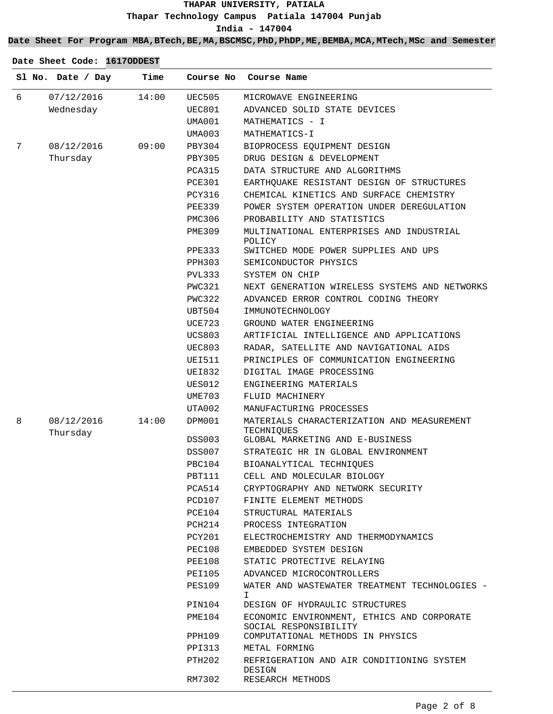### **Date Sheet For Program MBA,BTech,BE,MA,BSCMSC,PhD,PhDP,ME,BEMBA,MCA,MTech,MSc and Semester**

|   | Sl No. Date / Day      | Time  | Course No        | Course Name                                                                                             |
|---|------------------------|-------|------------------|---------------------------------------------------------------------------------------------------------|
| 6 | 07/12/2016             | 14:00 | UEC505           | MICROWAVE ENGINEERING                                                                                   |
|   | Wednesday              |       | UEC801           | ADVANCED SOLID STATE DEVICES                                                                            |
|   |                        |       | UMA001           | MATHEMATICS - I                                                                                         |
|   |                        |       | UMA003           | MATHEMATICS-I                                                                                           |
| 7 | 08/12/2016             | 09:00 | PBY304           | BIOPROCESS EQUIPMENT DESIGN                                                                             |
|   | Thursday               |       | PBY305           | DRUG DESIGN & DEVELOPMENT                                                                               |
|   |                        |       | PCA315           | DATA STRUCTURE AND ALGORITHMS                                                                           |
|   |                        |       | <b>PCE301</b>    | EARTHQUAKE RESISTANT DESIGN OF STRUCTURES                                                               |
|   |                        |       | <b>PCY316</b>    | CHEMICAL KINETICS AND SURFACE CHEMISTRY                                                                 |
|   |                        |       | PEE339           | POWER SYSTEM OPERATION UNDER DEREGULATION                                                               |
|   |                        |       | PMC306           | PROBABILITY AND STATISTICS                                                                              |
|   |                        |       | <b>PME309</b>    | MULTINATIONAL ENTERPRISES AND INDUSTRIAL<br>POLICY                                                      |
|   |                        |       | PPE333           | SWITCHED MODE POWER SUPPLIES AND UPS                                                                    |
|   |                        |       | PPH303           | SEMICONDUCTOR PHYSICS                                                                                   |
|   |                        |       | PVL333           | SYSTEM ON CHIP                                                                                          |
|   |                        |       | PWC321           | NEXT GENERATION WIRELESS SYSTEMS AND NETWORKS                                                           |
|   |                        |       | PWC322           | ADVANCED ERROR CONTROL CODING THEORY                                                                    |
|   |                        |       | UBT504           | IMMUNOTECHNOLOGY                                                                                        |
|   |                        |       | UCE723           | GROUND WATER ENGINEERING                                                                                |
|   |                        |       | <b>UCS803</b>    | ARTIFICIAL INTELLIGENCE AND APPLICATIONS                                                                |
|   |                        |       | <b>UEC803</b>    | RADAR, SATELLITE AND NAVIGATIONAL AIDS                                                                  |
|   |                        |       | UEI511           | PRINCIPLES OF COMMUNICATION ENGINEERING                                                                 |
|   |                        |       | <b>UEI832</b>    | DIGITAL IMAGE PROCESSING                                                                                |
|   |                        |       | <b>UES012</b>    | ENGINEERING MATERIALS                                                                                   |
|   |                        |       | UME703           | FLUID MACHINERY                                                                                         |
|   |                        |       | UTA002           | MANUFACTURING PROCESSES                                                                                 |
| 8 | 08/12/2016<br>Thursday | 14:00 | DPM001           | MATERIALS CHARACTERIZATION AND MEASUREMENT<br>TECHNIQUES                                                |
|   |                        |       | DSS003           | GLOBAL MARKETING AND E-BUSINESS                                                                         |
|   |                        |       | DSS007           | STRATEGIC HR IN GLOBAL ENVIRONMENT                                                                      |
|   |                        |       | PBC104           | BIOANALYTICAL TECHNIQUES                                                                                |
|   |                        |       | PBT111           | CELL AND MOLECULAR BIOLOGY                                                                              |
|   |                        |       | PCA514           | CRYPTOGRAPHY AND NETWORK SECURITY                                                                       |
|   |                        |       | PCD107           | FINITE ELEMENT METHODS                                                                                  |
|   |                        |       | PCE104           | STRUCTURAL MATERIALS                                                                                    |
|   |                        |       | PCH214           | PROCESS INTEGRATION                                                                                     |
|   |                        |       | PCY201           | ELECTROCHEMISTRY AND THERMODYNAMICS                                                                     |
|   |                        |       | PEC108           | EMBEDDED SYSTEM DESIGN                                                                                  |
|   |                        |       | PEE108           | STATIC PROTECTIVE RELAYING                                                                              |
|   |                        |       | <b>PEI105</b>    | ADVANCED MICROCONTROLLERS                                                                               |
|   |                        |       | <b>PES109</b>    | WATER AND WASTEWATER TREATMENT TECHNOLOGIES -<br>I                                                      |
|   |                        |       | PIN104           | DESIGN OF HYDRAULIC STRUCTURES                                                                          |
|   |                        |       | PME104<br>PPH109 | ECONOMIC ENVIRONMENT, ETHICS AND CORPORATE<br>SOCIAL RESPONSIBILITY<br>COMPUTATIONAL METHODS IN PHYSICS |
|   |                        |       | PPI313           | METAL FORMING                                                                                           |
|   |                        |       | PTH202           | REFRIGERATION AND AIR CONDITIONING SYSTEM                                                               |
|   |                        |       | RM7302           | DESIGN<br>RESEARCH METHODS                                                                              |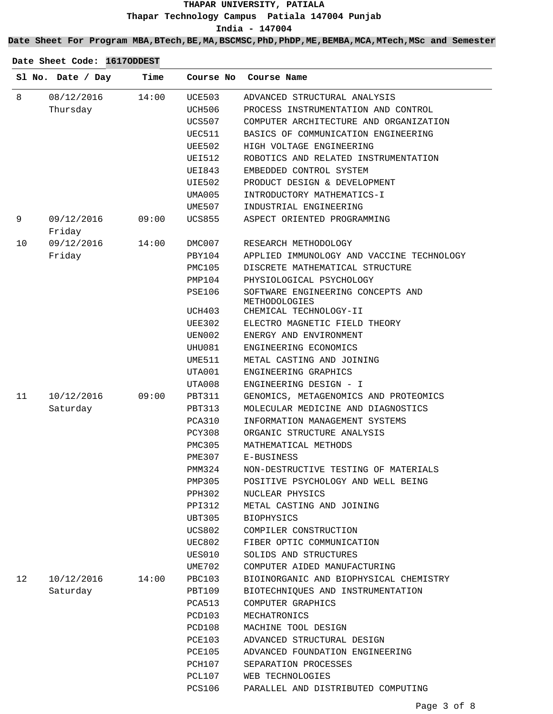**Date Sheet For Program MBA,BTech,BE,MA,BSCMSC,PhD,PhDP,ME,BEMBA,MCA,MTech,MSc and Semester**

|    | Sl No. Date / Day | Time  | Course No     | Course Name                               |
|----|-------------------|-------|---------------|-------------------------------------------|
| 8  | 08/12/2016        | 14:00 | UCE503        | ADVANCED STRUCTURAL ANALYSIS              |
|    | Thursday          |       | UCH506        | PROCESS INSTRUMENTATION AND CONTROL       |
|    |                   |       | UCS507        | COMPUTER ARCHITECTURE AND ORGANIZATION    |
|    |                   |       | UEC511        | BASICS OF COMMUNICATION ENGINEERING       |
|    |                   |       | UEE502        | HIGH VOLTAGE ENGINEERING                  |
|    |                   |       | UEI512        | ROBOTICS AND RELATED INSTRUMENTATION      |
|    |                   |       | UEI843        | EMBEDDED CONTROL SYSTEM                   |
|    |                   |       | <b>UIE502</b> | PRODUCT DESIGN & DEVELOPMENT              |
|    |                   |       | UMA005        | INTRODUCTORY MATHEMATICS-I                |
|    |                   |       | UME507        | INDUSTRIAL ENGINEERING                    |
| 9  | 09/12/2016        | 09:00 | UCS855        | ASPECT ORIENTED PROGRAMMING               |
|    | Friday            |       |               |                                           |
| 10 | 09/12/2016        | 14:00 | DMC007        | RESEARCH METHODOLOGY                      |
|    | Friday            |       | PBY104        | APPLIED IMMUNOLOGY AND VACCINE TECHNOLOGY |
|    |                   |       | PMC105        | DISCRETE MATHEMATICAL STRUCTURE           |
|    |                   |       | PMP104        | PHYSIOLOGICAL PSYCHOLOGY                  |
|    |                   |       | PSE106        | SOFTWARE ENGINEERING CONCEPTS AND         |
|    |                   |       |               | METHODOLOGIES                             |
|    |                   |       | UCH403        | CHEMICAL TECHNOLOGY-II                    |
|    |                   |       | UEE302        | ELECTRO MAGNETIC FIELD THEORY             |
|    |                   |       | UEN002        | ENERGY AND ENVIRONMENT                    |
|    |                   |       | UHU081        | ENGINEERING ECONOMICS                     |
|    |                   |       | UME511        | METAL CASTING AND JOINING                 |
|    |                   |       | UTA001        | ENGINEERING GRAPHICS                      |
|    |                   |       | UTA008        | ENGINEERING DESIGN - I                    |
| 11 | 10/12/2016        | 09:00 | PBT311        | GENOMICS, METAGENOMICS AND PROTEOMICS     |
|    | Saturday          |       | <b>PBT313</b> | MOLECULAR MEDICINE AND DIAGNOSTICS        |
|    |                   |       | PCA310        | INFORMATION MANAGEMENT SYSTEMS            |
|    |                   |       | PCY308        | ORGANIC STRUCTURE ANALYSIS                |
|    |                   |       | PMC305        | MATHEMATICAL METHODS                      |
|    |                   |       | PME307        | E-BUSINESS                                |
|    |                   |       | PMM324        | NON-DESTRUCTIVE TESTING OF MATERIALS      |
|    |                   |       | PMP305        | POSITIVE PSYCHOLOGY AND WELL BEING        |
|    |                   |       | PPH302        | NUCLEAR PHYSICS                           |
|    |                   |       | PPI312        | METAL CASTING AND JOINING                 |
|    |                   |       | UBT305        | <b>BIOPHYSICS</b>                         |
|    |                   |       | UCS802        | COMPILER CONSTRUCTION                     |
|    |                   |       | UEC802        | FIBER OPTIC COMMUNICATION                 |
|    |                   |       | UES010        | SOLIDS AND STRUCTURES                     |
|    |                   |       | UME702        | COMPUTER AIDED MANUFACTURING              |
| 12 | 10/12/2016        | 14:00 | PBC103        | BIOINORGANIC AND BIOPHYSICAL CHEMISTRY    |
|    | Saturday          |       | PBT109        | BIOTECHNIQUES AND INSTRUMENTATION         |
|    |                   |       | PCA513        | COMPUTER GRAPHICS                         |
|    |                   |       | PCD103        | MECHATRONICS                              |
|    |                   |       | PCD108        | MACHINE TOOL DESIGN                       |
|    |                   |       | PCE103        | ADVANCED STRUCTURAL DESIGN                |
|    |                   |       | PCE105        | ADVANCED FOUNDATION ENGINEERING           |
|    |                   |       | PCH107        | SEPARATION PROCESSES                      |
|    |                   |       | PCL107        | WEB TECHNOLOGIES                          |
|    |                   |       | <b>PCS106</b> | PARALLEL AND DISTRIBUTED COMPUTING        |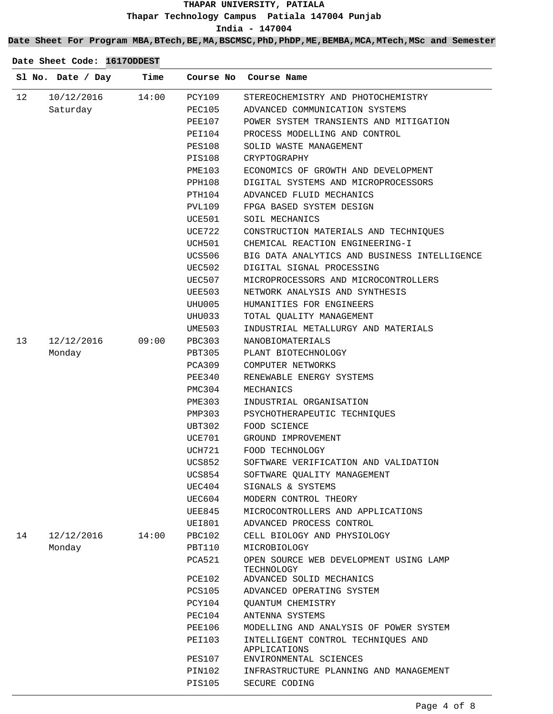**Date Sheet For Program MBA,BTech,BE,MA,BSCMSC,PhD,PhDP,ME,BEMBA,MCA,MTech,MSc and Semester**

|    | Sl No. Date / Day | Time  |               | Course No Course Name                                |
|----|-------------------|-------|---------------|------------------------------------------------------|
| 12 | 10/12/2016        | 14:00 | PCY109        | STEREOCHEMISTRY AND PHOTOCHEMISTRY                   |
|    | Saturday          |       | PEC105        | ADVANCED COMMUNICATION SYSTEMS                       |
|    |                   |       | PEE107        | POWER SYSTEM TRANSIENTS AND MITIGATION               |
|    |                   |       | PEI104        | PROCESS MODELLING AND CONTROL                        |
|    |                   |       | PES108        | SOLID WASTE MANAGEMENT                               |
|    |                   |       | <b>PIS108</b> | CRYPTOGRAPHY                                         |
|    |                   |       | PME103        | ECONOMICS OF GROWTH AND DEVELOPMENT                  |
|    |                   |       | PPH108        | DIGITAL SYSTEMS AND MICROPROCESSORS                  |
|    |                   |       | PTH104        | ADVANCED FLUID MECHANICS                             |
|    |                   |       | PVL109        | FPGA BASED SYSTEM DESIGN                             |
|    |                   |       | UCE501        | SOIL MECHANICS                                       |
|    |                   |       | UCE722        | CONSTRUCTION MATERIALS AND TECHNIQUES                |
|    |                   |       | UCH501        | CHEMICAL REACTION ENGINEERING-I                      |
|    |                   |       | UCS506        | BIG DATA ANALYTICS AND BUSINESS INTELLIGENCE         |
|    |                   |       | UEC502        | DIGITAL SIGNAL PROCESSING                            |
|    |                   |       | UEC507        | MICROPROCESSORS AND MICROCONTROLLERS                 |
|    |                   |       | UEE503        | NETWORK ANALYSIS AND SYNTHESIS                       |
|    |                   |       | UHU005        | HUMANITIES FOR ENGINEERS                             |
|    |                   |       | UHU033        | TOTAL OUALITY MANAGEMENT                             |
|    |                   |       | UME503        | INDUSTRIAL METALLURGY AND MATERIALS                  |
| 13 | 12/12/2016        | 09:00 | PBC303        | NANOBIOMATERIALS                                     |
|    | Monday            |       | PBT305        | PLANT BIOTECHNOLOGY                                  |
|    |                   |       | PCA309        | COMPUTER NETWORKS                                    |
|    |                   |       | PEE340        | RENEWABLE ENERGY SYSTEMS                             |
|    |                   |       | PMC304        | MECHANICS                                            |
|    |                   |       | PME303        | INDUSTRIAL ORGANISATION                              |
|    |                   |       | PMP303        | PSYCHOTHERAPEUTIC TECHNIQUES                         |
|    |                   |       | UBT302        | FOOD SCIENCE                                         |
|    |                   |       | UCE701        | GROUND IMPROVEMENT                                   |
|    |                   |       | UCH721        | FOOD TECHNOLOGY                                      |
|    |                   |       | UCS852        | SOFTWARE VERIFICATION AND VALIDATION                 |
|    |                   |       | UCS854        | SOFTWARE QUALITY MANAGEMENT                          |
|    |                   |       | UEC404        | SIGNALS & SYSTEMS                                    |
|    |                   |       | UEC604        | MODERN CONTROL THEORY                                |
|    |                   |       | UEE845        | MICROCONTROLLERS AND APPLICATIONS                    |
|    |                   |       | UEI801        | ADVANCED PROCESS CONTROL                             |
| 14 | 12/12/2016        | 14:00 | PBC102        | CELL BIOLOGY AND PHYSIOLOGY                          |
|    | Monday            |       | PBT110        | MICROBIOLOGY                                         |
|    |                   |       | PCA521        | OPEN SOURCE WEB DEVELOPMENT USING LAMP<br>TECHNOLOGY |
|    |                   |       | PCE102        | ADVANCED SOLID MECHANICS                             |
|    |                   |       | <b>PCS105</b> | ADVANCED OPERATING SYSTEM                            |
|    |                   |       | PCY104        | OUANTUM CHEMISTRY                                    |
|    |                   |       | PEC104        | ANTENNA SYSTEMS                                      |
|    |                   |       | PEE106        | MODELLING AND ANALYSIS OF POWER SYSTEM               |
|    |                   |       | PEI103        | INTELLIGENT CONTROL TECHNIQUES AND<br>APPLICATIONS   |
|    |                   |       | <b>PES107</b> | ENVIRONMENTAL SCIENCES                               |
|    |                   |       | PIN102        | INFRASTRUCTURE PLANNING AND MANAGEMENT               |
|    |                   |       | <b>PIS105</b> | SECURE CODING                                        |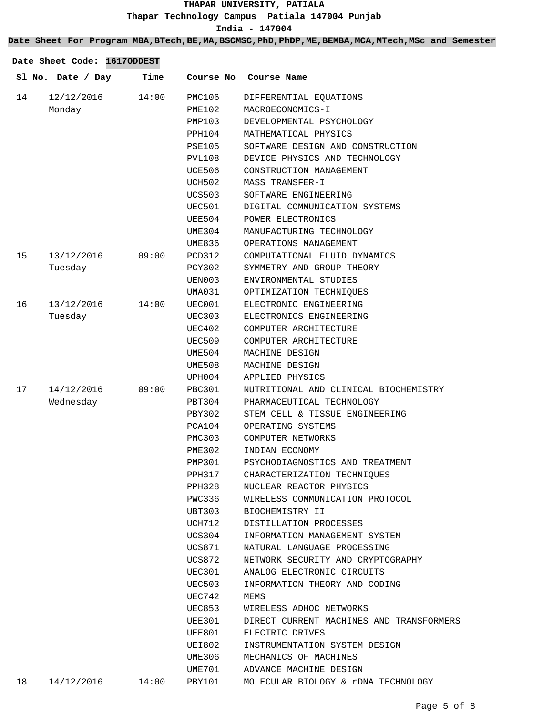**Date Sheet For Program MBA,BTech,BE,MA,BSCMSC,PhD,PhDP,ME,BEMBA,MCA,MTech,MSc and Semester**

|    | Sl No. Date / Day | Time  | Course No     | Course Name                              |
|----|-------------------|-------|---------------|------------------------------------------|
| 14 | 12/12/2016        | 14:00 | PMC106        | DIFFERENTIAL EQUATIONS                   |
|    | Monday            |       | PME102        | MACROECONOMICS-I                         |
|    |                   |       | PMP103        | DEVELOPMENTAL PSYCHOLOGY                 |
|    |                   |       | PPH104        | MATHEMATICAL PHYSICS                     |
|    |                   |       | PSE105        | SOFTWARE DESIGN AND CONSTRUCTION         |
|    |                   |       | PVL108        | DEVICE PHYSICS AND TECHNOLOGY            |
|    |                   |       | UCE506        | CONSTRUCTION MANAGEMENT                  |
|    |                   |       | UCH502        | MASS TRANSFER-I                          |
|    |                   |       | <b>UCS503</b> | SOFTWARE ENGINEERING                     |
|    |                   |       | UEC501        | DIGITAL COMMUNICATION SYSTEMS            |
|    |                   |       | UEE504        | POWER ELECTRONICS                        |
|    |                   |       | UME304        | MANUFACTURING TECHNOLOGY                 |
|    |                   |       | UME836        | OPERATIONS MANAGEMENT                    |
| 15 | 13/12/2016        | 09:00 | <b>PCD312</b> | COMPUTATIONAL FLUID DYNAMICS             |
|    | Tuesday           |       | PCY302        | SYMMETRY AND GROUP THEORY                |
|    |                   |       | UEN003        | ENVIRONMENTAL STUDIES                    |
|    |                   |       | UMA031        | OPTIMIZATION TECHNIOUES                  |
| 16 | 13/12/2016        | 14:00 | UEC001        | ELECTRONIC ENGINEERING                   |
|    | Tuesday           |       | UEC303        | ELECTRONICS ENGINEERING                  |
|    |                   |       | UEC402        | COMPUTER ARCHITECTURE                    |
|    |                   |       | UEC509        | COMPUTER ARCHITECTURE                    |
|    |                   |       | UME504        | MACHINE DESIGN                           |
|    |                   |       | UME508        | MACHINE DESIGN                           |
|    |                   |       | UPH004        | APPLIED PHYSICS                          |
| 17 | 14/12/2016        | 09:00 | PBC301        | NUTRITIONAL AND CLINICAL BIOCHEMISTRY    |
|    | Wednesday         |       | PBT304        | PHARMACEUTICAL TECHNOLOGY                |
|    |                   |       | <b>PBY302</b> | STEM CELL & TISSUE ENGINEERING           |
|    |                   |       | PCA104        | OPERATING SYSTEMS                        |
|    |                   |       | PMC303        | COMPUTER NETWORKS                        |
|    |                   |       | PME302        | INDIAN ECONOMY                           |
|    |                   |       | PMP301        | PSYCHODIAGNOSTICS AND TREATMENT          |
|    |                   |       | PPH317        | CHARACTERIZATION TECHNIQUES              |
|    |                   |       | PPH328        | NUCLEAR REACTOR PHYSICS                  |
|    |                   |       | PWC336        | WIRELESS COMMUNICATION PROTOCOL          |
|    |                   |       | UBT303        | BIOCHEMISTRY II                          |
|    |                   |       | UCH712        | DISTILLATION PROCESSES                   |
|    |                   |       | UCS304        | INFORMATION MANAGEMENT SYSTEM            |
|    |                   |       | UCS871        | NATURAL LANGUAGE PROCESSING              |
|    |                   |       | UCS872        | NETWORK SECURITY AND CRYPTOGRAPHY        |
|    |                   |       | UEC301        | ANALOG ELECTRONIC CIRCUITS               |
|    |                   |       | UEC503        | INFORMATION THEORY AND CODING            |
|    |                   |       | UEC742        | MEMS                                     |
|    |                   |       | UEC853        | WIRELESS ADHOC NETWORKS                  |
|    |                   |       | UEE301        | DIRECT CURRENT MACHINES AND TRANSFORMERS |
|    |                   |       | UEE801        | ELECTRIC DRIVES                          |
|    |                   |       | UEI802        | INSTRUMENTATION SYSTEM DESIGN            |
|    |                   |       | UME306        | MECHANICS OF MACHINES                    |
|    |                   |       | UME701        | ADVANCE MACHINE DESIGN                   |
|    |                   |       |               |                                          |
| 18 | 14/12/2016        | 14:00 | PBY101        | MOLECULAR BIOLOGY & rDNA TECHNOLOGY      |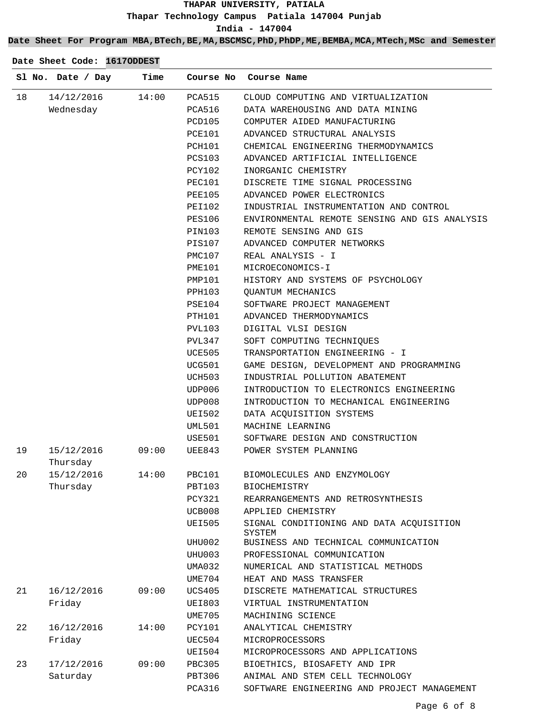#### **Date Sheet For Program MBA,BTech,BE,MA,BSCMSC,PhD,PhDP,ME,BEMBA,MCA,MTech,MSc and Semester**

|    | Sl No. Date / Day | Time  |               | Course No Course Name                              |
|----|-------------------|-------|---------------|----------------------------------------------------|
| 18 | 14/12/2016        | 14:00 | PCA515        | CLOUD COMPUTING AND VIRTUALIZATION                 |
|    | Wednesday         |       | PCA516        | DATA WAREHOUSING AND DATA MINING                   |
|    |                   |       | PCD105        | COMPUTER AIDED MANUFACTURING                       |
|    |                   |       | PCE101        | ADVANCED STRUCTURAL ANALYSIS                       |
|    |                   |       | PCH101        | CHEMICAL ENGINEERING THERMODYNAMICS                |
|    |                   |       | PCS103        | ADVANCED ARTIFICIAL INTELLIGENCE                   |
|    |                   |       | PCY102        | INORGANIC CHEMISTRY                                |
|    |                   |       | PEC101        | DISCRETE TIME SIGNAL PROCESSING                    |
|    |                   |       | PEE105        | ADVANCED POWER ELECTRONICS                         |
|    |                   |       | PEI102        | INDUSTRIAL INSTRUMENTATION AND CONTROL             |
|    |                   |       | PES106        | ENVIRONMENTAL REMOTE SENSING AND GIS ANALYSIS      |
|    |                   |       | PIN103        | REMOTE SENSING AND GIS                             |
|    |                   |       | PIS107        | ADVANCED COMPUTER NETWORKS                         |
|    |                   |       | PMC107        | REAL ANALYSIS - I                                  |
|    |                   |       | PME101        | MICROECONOMICS-I                                   |
|    |                   |       | PMP101        | HISTORY AND SYSTEMS OF PSYCHOLOGY                  |
|    |                   |       | PPH103        | OUANTUM MECHANICS                                  |
|    |                   |       | PSE104        | SOFTWARE PROJECT MANAGEMENT                        |
|    |                   |       | PTH101        | ADVANCED THERMODYNAMICS                            |
|    |                   |       | PVL103        | DIGITAL VLSI DESIGN                                |
|    |                   |       | PVL347        | SOFT COMPUTING TECHNIQUES                          |
|    |                   |       | UCE505        | TRANSPORTATION ENGINEERING - I                     |
|    |                   |       | UCG501        | GAME DESIGN, DEVELOPMENT AND PROGRAMMING           |
|    |                   |       | UCH503        | INDUSTRIAL POLLUTION ABATEMENT                     |
|    |                   |       | UDP006        | INTRODUCTION TO ELECTRONICS ENGINEERING            |
|    |                   |       | UDP008        | INTRODUCTION TO MECHANICAL ENGINEERING             |
|    |                   |       | UEI502        | DATA ACQUISITION SYSTEMS                           |
|    |                   |       | UML501        | MACHINE LEARNING                                   |
|    |                   |       | USE501        | SOFTWARE DESIGN AND CONSTRUCTION                   |
| 19 | 15/12/2016        | 09:00 | UEE843        | POWER SYSTEM PLANNING                              |
|    | Thursday          |       |               |                                                    |
| 20 | 15/12/2016        | 14:00 | <b>PBC101</b> | BIOMOLECULES AND ENZYMOLOGY                        |
|    | Thursday          |       | PBT103        | <b>BIOCHEMISTRY</b>                                |
|    |                   |       | PCY321        | REARRANGEMENTS AND RETROSYNTHESIS                  |
|    |                   |       | UCB008        | APPLIED CHEMISTRY                                  |
|    |                   |       | <b>UEI505</b> | SIGNAL CONDITIONING AND DATA ACQUISITION<br>SYSTEM |
|    |                   |       | UHU002        | BUSINESS AND TECHNICAL COMMUNICATION               |
|    |                   |       | UHU003        | PROFESSIONAL COMMUNICATION                         |
|    |                   |       | UMA032        | NUMERICAL AND STATISTICAL METHODS                  |
|    |                   |       | UME704        | HEAT AND MASS TRANSFER                             |
| 21 | 16/12/2016        | 09:00 | <b>UCS405</b> | DISCRETE MATHEMATICAL STRUCTURES                   |
|    | Friday            |       | <b>UEI803</b> | VIRTUAL INSTRUMENTATION                            |
|    |                   |       | UME705        | MACHINING SCIENCE                                  |
| 22 | 16/12/2016        | 14:00 | <b>PCY101</b> | ANALYTICAL CHEMISTRY                               |
|    | Friday            |       | UEC504        | MICROPROCESSORS                                    |
|    |                   |       | UEI504        | MICROPROCESSORS AND APPLICATIONS                   |
| 23 | 17/12/2016        | 09:00 | <b>PBC305</b> | BIOETHICS, BIOSAFETY AND IPR                       |
|    | Saturday          |       | <b>PBT306</b> | ANIMAL AND STEM CELL TECHNOLOGY                    |
|    |                   |       | PCA316        | SOFTWARE ENGINEERING AND PROJECT MANAGEMENT        |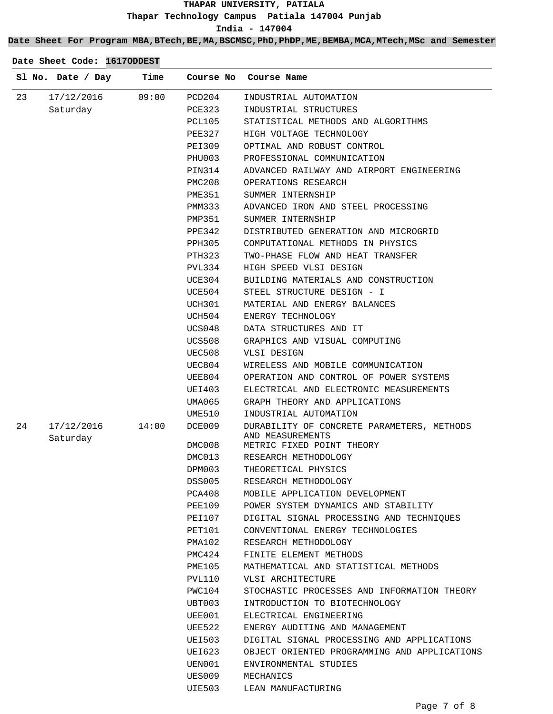**Date Sheet For Program MBA,BTech,BE,MA,BSCMSC,PhD,PhDP,ME,BEMBA,MCA,MTech,MSc and Semester**

|    | Sl No. Date / Day      | Time  | Course No     | Course Name                                                    |
|----|------------------------|-------|---------------|----------------------------------------------------------------|
| 23 | 17/12/2016             | 09:00 | PCD204        | INDUSTRIAL AUTOMATION                                          |
|    | Saturday               |       | PCE323        | INDUSTRIAL STRUCTURES                                          |
|    |                        |       | PCL105        | STATISTICAL METHODS AND ALGORITHMS                             |
|    |                        |       | PEE327        | HIGH VOLTAGE TECHNOLOGY                                        |
|    |                        |       | PEI309        | OPTIMAL AND ROBUST CONTROL                                     |
|    |                        |       | PHU003        | PROFESSIONAL COMMUNICATION                                     |
|    |                        |       | PIN314        | ADVANCED RAILWAY AND AIRPORT ENGINEERING                       |
|    |                        |       | PMC208        | OPERATIONS RESEARCH                                            |
|    |                        |       | PME351        | SUMMER INTERNSHIP                                              |
|    |                        |       | PMM333        | ADVANCED IRON AND STEEL PROCESSING                             |
|    |                        |       | PMP351        | SUMMER INTERNSHIP                                              |
|    |                        |       | PPE342        | DISTRIBUTED GENERATION AND MICROGRID                           |
|    |                        |       | PPH305        | COMPUTATIONAL METHODS IN PHYSICS                               |
|    |                        |       | PTH323        | TWO-PHASE FLOW AND HEAT TRANSFER                               |
|    |                        |       | PVL334        | HIGH SPEED VLSI DESIGN                                         |
|    |                        |       | UCE304        | BUILDING MATERIALS AND CONSTRUCTION                            |
|    |                        |       | UCE504        | STEEL STRUCTURE DESIGN - I                                     |
|    |                        |       | UCH301        | MATERIAL AND ENERGY BALANCES                                   |
|    |                        |       | UCH504        | ENERGY TECHNOLOGY                                              |
|    |                        |       | UCS048        | DATA STRUCTURES AND IT                                         |
|    |                        |       | UCS508        | GRAPHICS AND VISUAL COMPUTING                                  |
|    |                        |       | UEC508        | VLSI DESIGN                                                    |
|    |                        |       | UEC804        | WIRELESS AND MOBILE COMMUNICATION                              |
|    |                        |       | UEE804        | OPERATION AND CONTROL OF POWER SYSTEMS                         |
|    |                        |       | UEI403        | ELECTRICAL AND ELECTRONIC MEASUREMENTS                         |
|    |                        |       | UMA065        | GRAPH THEORY AND APPLICATIONS                                  |
|    |                        |       | UME510        | INDUSTRIAL AUTOMATION                                          |
| 24 | 17/12/2016<br>Saturday | 14:00 | DCE009        | DURABILITY OF CONCRETE PARAMETERS, METHODS<br>AND MEASUREMENTS |
|    |                        |       | DMC008        | METRIC FIXED POINT THEORY                                      |
|    |                        |       | DMC013        | RESEARCH METHODOLOGY                                           |
|    |                        |       | DPM003        | THEORETICAL PHYSICS                                            |
|    |                        |       | <b>DSS005</b> | RESEARCH METHODOLOGY                                           |
|    |                        |       | PCA408        | MOBILE APPLICATION DEVELOPMENT                                 |
|    |                        |       | PEE109        | POWER SYSTEM DYNAMICS AND STABILITY                            |
|    |                        |       | PEI107        | DIGITAL SIGNAL PROCESSING AND TECHNIOUES                       |
|    |                        |       | PET101        | CONVENTIONAL ENERGY TECHNOLOGIES                               |
|    |                        |       | PMA102        | RESEARCH METHODOLOGY                                           |
|    |                        |       | PMC424        | FINITE ELEMENT METHODS                                         |
|    |                        |       | PME105        | MATHEMATICAL AND STATISTICAL METHODS                           |
|    |                        |       | PVL110        | VLSI ARCHITECTURE                                              |
|    |                        |       | PWC104        | STOCHASTIC PROCESSES AND INFORMATION THEORY                    |
|    |                        |       | UBT003        | INTRODUCTION TO BIOTECHNOLOGY                                  |
|    |                        |       | UEE001        | ELECTRICAL ENGINEERING                                         |
|    |                        |       | UEE522        | ENERGY AUDITING AND MANAGEMENT                                 |
|    |                        |       | UEI503        | DIGITAL SIGNAL PROCESSING AND APPLICATIONS                     |
|    |                        |       | UEI623        | OBJECT ORIENTED PROGRAMMING AND APPLICATIONS                   |
|    |                        |       | UEN001        | ENVIRONMENTAL STUDIES                                          |
|    |                        |       | UES009        | MECHANICS                                                      |
|    |                        |       | UIE503        | LEAN MANUFACTURING                                             |